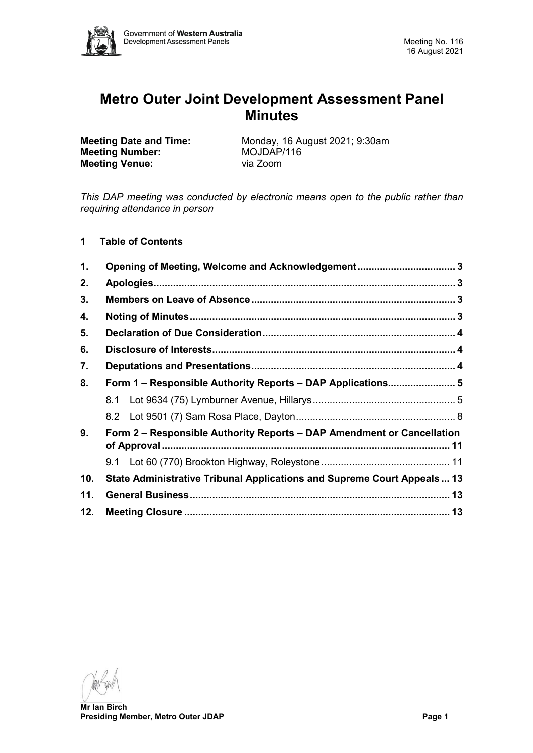

# **Metro Outer Joint Development Assessment Panel Minutes**

**Meeting Number:** MOJDAP<br> **Meeting Venue:** Via Zoom **Meeting Venue:** 

**Meeting Date and Time:** Monday, 16 August 2021; 9:30am<br> **Meeting Number:** MOJDAP/116

*This DAP meeting was conducted by electronic means open to the public rather than requiring attendance in person*

# **1 Table of Contents**

| 1.  |                                                                         |  |  |  |  |
|-----|-------------------------------------------------------------------------|--|--|--|--|
| 2.  |                                                                         |  |  |  |  |
| 3.  |                                                                         |  |  |  |  |
| 4.  |                                                                         |  |  |  |  |
| 5.  |                                                                         |  |  |  |  |
| 6.  |                                                                         |  |  |  |  |
| 7.  |                                                                         |  |  |  |  |
| 8.  | Form 1 - Responsible Authority Reports - DAP Applications 5             |  |  |  |  |
|     |                                                                         |  |  |  |  |
|     |                                                                         |  |  |  |  |
| 9.  | Form 2 – Responsible Authority Reports – DAP Amendment or Cancellation  |  |  |  |  |
|     |                                                                         |  |  |  |  |
| 10. | State Administrative Tribunal Applications and Supreme Court Appeals 13 |  |  |  |  |
| 11. |                                                                         |  |  |  |  |
| 12. |                                                                         |  |  |  |  |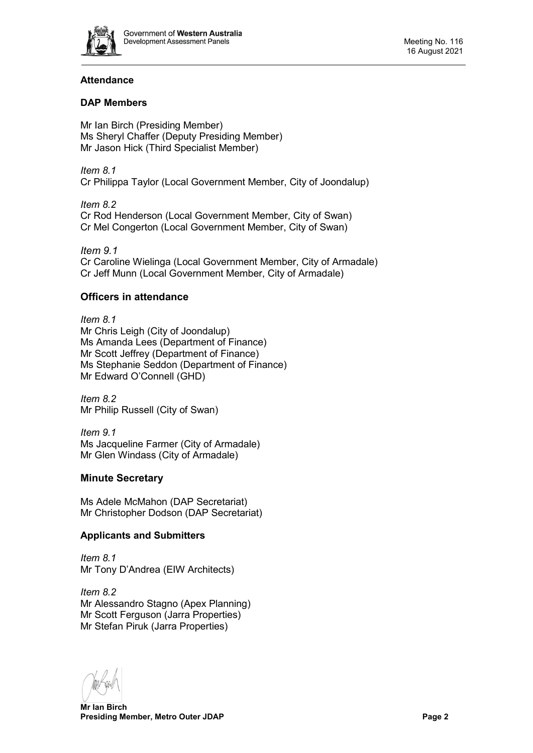

# **Attendance**

# **DAP Members**

Mr Ian Birch (Presiding Member) Ms Sheryl Chaffer (Deputy Presiding Member) Mr Jason Hick (Third Specialist Member)

*Item 8.1* Cr Philippa Taylor (Local Government Member, City of Joondalup)

*Item 8.2* Cr Rod Henderson (Local Government Member, City of Swan) Cr Mel Congerton (Local Government Member, City of Swan)

*Item 9.1* Cr Caroline Wielinga (Local Government Member, City of Armadale) Cr Jeff Munn (Local Government Member, City of Armadale)

# **Officers in attendance**

*Item 8.1* Mr Chris Leigh (City of Joondalup) Ms Amanda Lees (Department of Finance) Mr Scott Jeffrey (Department of Finance) Ms Stephanie Seddon (Department of Finance) Mr Edward O'Connell (GHD)

*Item 8.2* Mr Philip Russell (City of Swan)

*Item 9.1* Ms Jacqueline Farmer (City of Armadale) Mr Glen Windass (City of Armadale)

# **Minute Secretary**

Ms Adele McMahon (DAP Secretariat) Mr Christopher Dodson (DAP Secretariat)

# **Applicants and Submitters**

*Item 8.1* Mr Tony D'Andrea (EIW Architects)

*Item 8.2* Mr Alessandro Stagno (Apex Planning) Mr Scott Ferguson (Jarra Properties) Mr Stefan Piruk (Jarra Properties)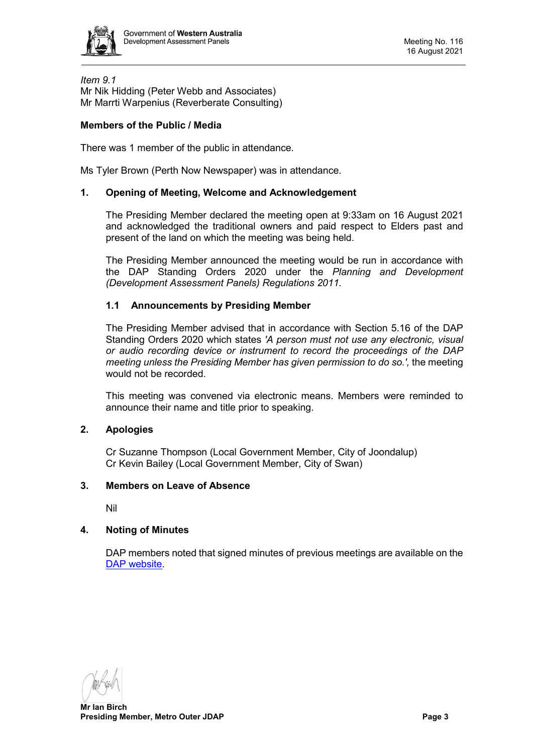

*Item 9.1* Mr Nik Hidding (Peter Webb and Associates) Mr Marrti Warpenius (Reverberate Consulting)

# **Members of the Public / Media**

There was 1 member of the public in attendance.

<span id="page-2-0"></span>Ms Tyler Brown (Perth Now Newspaper) was in attendance.

#### **1. Opening of Meeting, Welcome and Acknowledgement**

The Presiding Member declared the meeting open at 9:33am on 16 August 2021 and acknowledged the traditional owners and paid respect to Elders past and present of the land on which the meeting was being held.

The Presiding Member announced the meeting would be run in accordance with the DAP Standing Orders 2020 under the *Planning and Development (Development Assessment Panels) Regulations 2011.*

#### **1.1 Announcements by Presiding Member**

The Presiding Member advised that in accordance with Section 5.16 of the DAP Standing Orders 2020 which states *'A person must not use any electronic, visual or audio recording device or instrument to record the proceedings of the DAP meeting unless the Presiding Member has given permission to do so.',* the meeting would not be recorded.

This meeting was convened via electronic means. Members were reminded to announce their name and title prior to speaking.

#### <span id="page-2-1"></span>**2. Apologies**

Cr Suzanne Thompson (Local Government Member, City of Joondalup) Cr Kevin Bailey (Local Government Member, City of Swan)

#### <span id="page-2-2"></span>**3. Members on Leave of Absence**

Nil

# <span id="page-2-3"></span>**4. Noting of Minutes**

DAP members noted that signed minutes of previous meetings are available on the [DAP website.](https://www.dplh.wa.gov.au/about/development-assessment-panels/daps-agendas-and-minutes)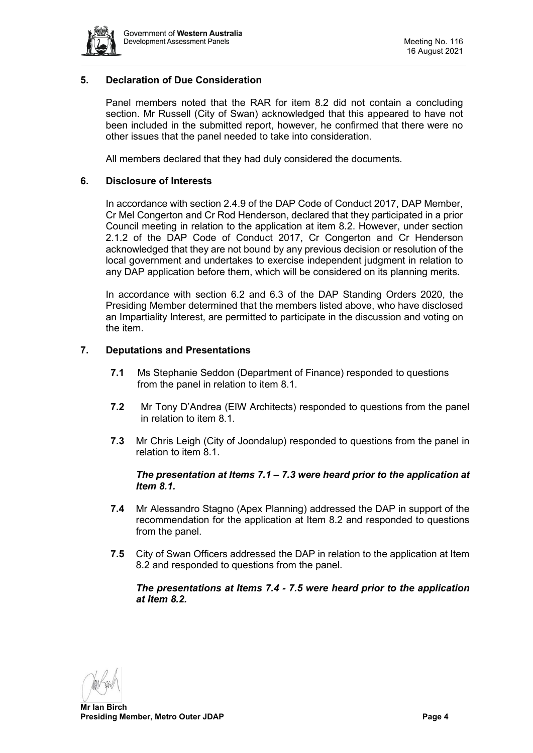

# <span id="page-3-0"></span>**5. Declaration of Due Consideration**

Panel members noted that the RAR for item 8.2 did not contain a concluding section. Mr Russell (City of Swan) acknowledged that this appeared to have not been included in the submitted report, however, he confirmed that there were no other issues that the panel needed to take into consideration.

All members declared that they had duly considered the documents.

# <span id="page-3-1"></span>**6. Disclosure of Interests**

In accordance with section 2.4.9 of the DAP Code of Conduct 2017, DAP Member, Cr Mel Congerton and Cr Rod Henderson, declared that they participated in a prior Council meeting in relation to the application at item 8.2. However, under section 2.1.2 of the DAP Code of Conduct 2017, Cr Congerton and Cr Henderson acknowledged that they are not bound by any previous decision or resolution of the local government and undertakes to exercise independent judgment in relation to any DAP application before them, which will be considered on its planning merits.

In accordance with section 6.2 and 6.3 of the DAP Standing Orders 2020, the Presiding Member determined that the members listed above, who have disclosed an Impartiality Interest, are permitted to participate in the discussion and voting on the item.

#### <span id="page-3-2"></span>**7. Deputations and Presentations**

- **7.1** Ms Stephanie Seddon (Department of Finance) responded to questions from the panel in relation to item 8.1.
- **7.2** Mr Tony D'Andrea (EIW Architects) responded to questions from the panel in relation to item 8.1.
- **7.3** Mr Chris Leigh (City of Joondalup) responded to questions from the panel in relation to item 8.1.

#### *The presentation at Items 7.1 – 7.3 were heard prior to the application at Item 8.1.*

- **7.4** Mr Alessandro Stagno (Apex Planning) addressed the DAP in support of the recommendation for the application at Item 8.2 and responded to questions from the panel.
- **7.5** City of Swan Officers addressed the DAP in relation to the application at Item 8.2 and responded to questions from the panel.

#### *The presentations at Items 7.4 - 7.5 were heard prior to the application at Item 8.2.*

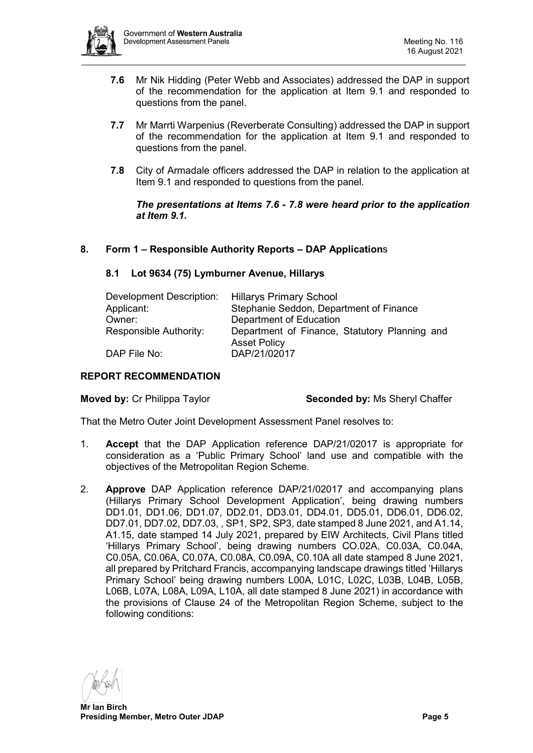

- **7.6** Mr Nik Hidding (Peter Webb and Associates) addressed the DAP in support of the recommendation for the application at Item 9.1 and responded to questions from the panel.
- **7.7** Mr Marrti Warpenius (Reverberate Consulting) addressed the DAP in support of the recommendation for the application at Item 9.1 and responded to questions from the panel.
- **7.8** City of Armadale officers addressed the DAP in relation to the application at Item 9.1 and responded to questions from the panel.

*The presentations at Items 7.6 - 7.8 were heard prior to the application at Item 9.1.*

# <span id="page-4-1"></span><span id="page-4-0"></span>**8. Form 1 – Responsible Authority Reports – DAP Application**s

#### **8.1 Lot 9634 (75) Lymburner Avenue, Hillarys**

| Development Description: | <b>Hillarys Primary School</b>                                       |  |  |
|--------------------------|----------------------------------------------------------------------|--|--|
| Applicant:               | Stephanie Seddon, Department of Finance                              |  |  |
| Owner:                   | Department of Education                                              |  |  |
| Responsible Authority:   | Department of Finance, Statutory Planning and<br><b>Asset Policy</b> |  |  |
| DAP File No:             | DAP/21/02017                                                         |  |  |

# **REPORT RECOMMENDATION**

**Moved by:** Cr Philippa Taylor **Seconded by:** Ms Sheryl Chaffer

That the Metro Outer Joint Development Assessment Panel resolves to:

- 1. **Accept** that the DAP Application reference DAP/21/02017 is appropriate for consideration as a 'Public Primary School' land use and compatible with the objectives of the Metropolitan Region Scheme.
- 2. **Approve** DAP Application reference DAP/21/02017 and accompanying plans (Hillarys Primary School Development Application', being drawing numbers DD1.01, DD1.06, DD1.07, DD2.01, DD3.01, DD4.01, DD5.01, DD6.01, DD6.02, DD7.01, DD7.02, DD7.03, , SP1, SP2, SP3, date stamped 8 June 2021, and A1.14, A1.15, date stamped 14 July 2021, prepared by EIW Architects, Civil Plans titled 'Hillarys Primary School', being drawing numbers CO.02A, C0.03A, C0.04A, C0.05A, C0.06A, C0.07A, C0.08A, C0.09A, C0.10A all date stamped 8 June 2021, all prepared by Pritchard Francis, accompanying landscape drawings titled 'Hillarys Primary School' being drawing numbers L00A, L01C, L02C, L03B, L04B, L05B, L06B, L07A, L08A, L09A, L10A, all date stamped 8 June 2021) in accordance with the provisions of Clause 24 of the Metropolitan Region Scheme, subject to the following conditions: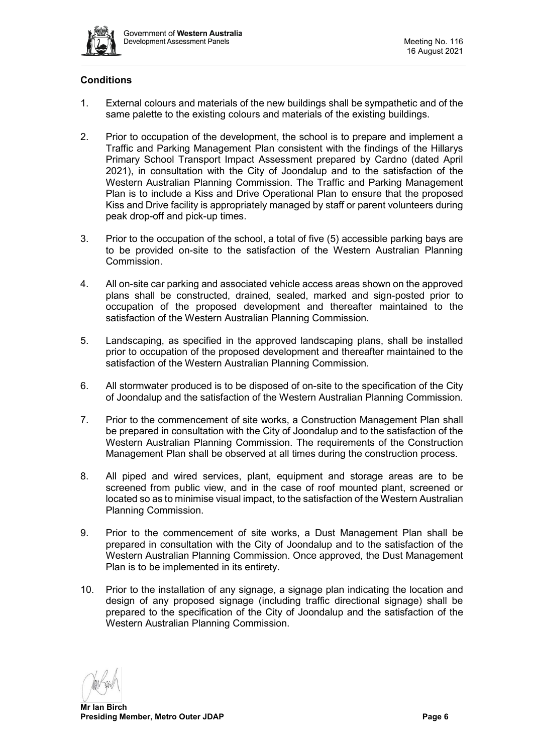

# **Conditions**

- 1. External colours and materials of the new buildings shall be sympathetic and of the same palette to the existing colours and materials of the existing buildings.
- 2. Prior to occupation of the development, the school is to prepare and implement a Traffic and Parking Management Plan consistent with the findings of the Hillarys Primary School Transport Impact Assessment prepared by Cardno (dated April 2021), in consultation with the City of Joondalup and to the satisfaction of the Western Australian Planning Commission. The Traffic and Parking Management Plan is to include a Kiss and Drive Operational Plan to ensure that the proposed Kiss and Drive facility is appropriately managed by staff or parent volunteers during peak drop-off and pick-up times.
- 3. Prior to the occupation of the school, a total of five (5) accessible parking bays are to be provided on-site to the satisfaction of the Western Australian Planning Commission.
- 4. All on-site car parking and associated vehicle access areas shown on the approved plans shall be constructed, drained, sealed, marked and sign-posted prior to occupation of the proposed development and thereafter maintained to the satisfaction of the Western Australian Planning Commission.
- 5. Landscaping, as specified in the approved landscaping plans, shall be installed prior to occupation of the proposed development and thereafter maintained to the satisfaction of the Western Australian Planning Commission.
- 6. All stormwater produced is to be disposed of on-site to the specification of the City of Joondalup and the satisfaction of the Western Australian Planning Commission.
- 7. Prior to the commencement of site works, a Construction Management Plan shall be prepared in consultation with the City of Joondalup and to the satisfaction of the Western Australian Planning Commission. The requirements of the Construction Management Plan shall be observed at all times during the construction process.
- 8. All piped and wired services, plant, equipment and storage areas are to be screened from public view, and in the case of roof mounted plant, screened or located so as to minimise visual impact, to the satisfaction of the Western Australian Planning Commission.
- 9. Prior to the commencement of site works, a Dust Management Plan shall be prepared in consultation with the City of Joondalup and to the satisfaction of the Western Australian Planning Commission. Once approved, the Dust Management Plan is to be implemented in its entirety.
- 10. Prior to the installation of any signage, a signage plan indicating the location and design of any proposed signage (including traffic directional signage) shall be prepared to the specification of the City of Joondalup and the satisfaction of the Western Australian Planning Commission.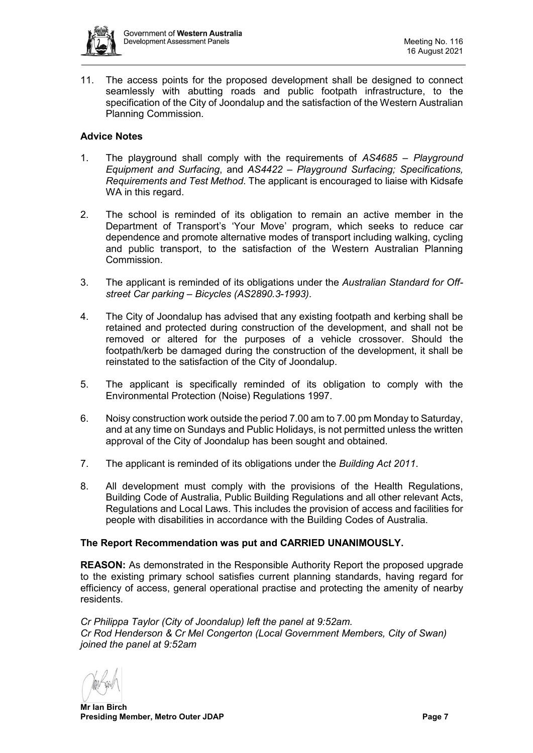

11. The access points for the proposed development shall be designed to connect seamlessly with abutting roads and public footpath infrastructure, to the specification of the City of Joondalup and the satisfaction of the Western Australian Planning Commission.

# **Advice Notes**

- 1. The playground shall comply with the requirements of *AS4685 – Playground Equipment and Surfacing*, and *AS4422 – Playground Surfacing; Specifications, Requirements and Test Method*. The applicant is encouraged to liaise with Kidsafe WA in this regard.
- 2. The school is reminded of its obligation to remain an active member in the Department of Transport's 'Your Move' program, which seeks to reduce car dependence and promote alternative modes of transport including walking, cycling and public transport, to the satisfaction of the Western Australian Planning Commission.
- 3. The applicant is reminded of its obligations under the *Australian Standard for Offstreet Car parking – Bicycles (AS2890.3-1993)*.
- 4. The City of Joondalup has advised that any existing footpath and kerbing shall be retained and protected during construction of the development, and shall not be removed or altered for the purposes of a vehicle crossover. Should the footpath/kerb be damaged during the construction of the development, it shall be reinstated to the satisfaction of the City of Joondalup.
- 5. The applicant is specifically reminded of its obligation to comply with the Environmental Protection (Noise) Regulations 1997.
- 6. Noisy construction work outside the period 7.00 am to 7.00 pm Monday to Saturday, and at any time on Sundays and Public Holidays, is not permitted unless the written approval of the City of Joondalup has been sought and obtained.
- 7. The applicant is reminded of its obligations under the *Building Act 2011*.
- 8. All development must comply with the provisions of the Health Regulations, Building Code of Australia, Public Building Regulations and all other relevant Acts, Regulations and Local Laws. This includes the provision of access and facilities for people with disabilities in accordance with the Building Codes of Australia.

#### **The Report Recommendation was put and CARRIED UNANIMOUSLY.**

**REASON:** As demonstrated in the Responsible Authority Report the proposed upgrade to the existing primary school satisfies current planning standards, having regard for efficiency of access, general operational practise and protecting the amenity of nearby residents.

*Cr Philippa Taylor (City of Joondalup) left the panel at 9:52am. Cr Rod Henderson & Cr Mel Congerton (Local Government Members, City of Swan) joined the panel at 9:52am*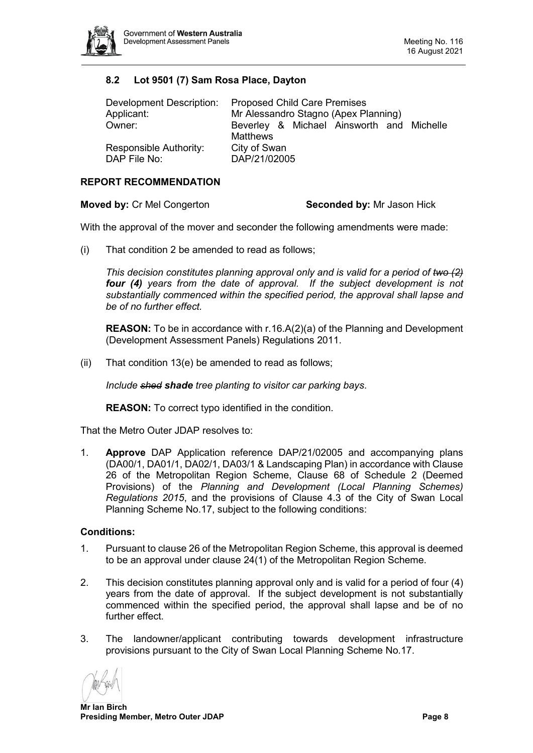

# <span id="page-7-0"></span>**8.2 Lot 9501 (7) Sam Rosa Place, Dayton**

| Development Description: | <b>Proposed Child Care Premises</b>                   |  |  |  |
|--------------------------|-------------------------------------------------------|--|--|--|
| Applicant:               | Mr Alessandro Stagno (Apex Planning)                  |  |  |  |
| Owner:                   | Beverley & Michael Ainsworth and Michelle<br>Matthews |  |  |  |
| Responsible Authority:   | City of Swan                                          |  |  |  |
| DAP File No:             | DAP/21/02005                                          |  |  |  |

# **REPORT RECOMMENDATION**

**Moved by: Cr Mel Congerton <b>Seconded by:** Mr Jason Hick

With the approval of the mover and seconder the following amendments were made:

(i) That condition 2 be amended to read as follows;

*This decision constitutes planning approval only and is valid for a period of two (2) four (4) years from the date of approval. If the subject development is not substantially commenced within the specified period, the approval shall lapse and be of no further effect.* 

**REASON:** To be in accordance with r.16.A(2)(a) of the Planning and Development (Development Assessment Panels) Regulations 2011.

(ii) That condition 13(e) be amended to read as follows;

*Include shed shade tree planting to visitor car parking bays*.

**REASON:** To correct typo identified in the condition.

That the Metro Outer JDAP resolves to:

1. **Approve** DAP Application reference DAP/21/02005 and accompanying plans (DA00/1, DA01/1, DA02/1, DA03/1 & Landscaping Plan) in accordance with Clause 26 of the Metropolitan Region Scheme, Clause 68 of Schedule 2 (Deemed Provisions) of the *Planning and Development (Local Planning Schemes) Regulations 2015*, and the provisions of Clause 4.3 of the City of Swan Local Planning Scheme No.17, subject to the following conditions:

#### **Conditions:**

- 1. Pursuant to clause 26 of the Metropolitan Region Scheme, this approval is deemed to be an approval under clause 24(1) of the Metropolitan Region Scheme.
- 2. This decision constitutes planning approval only and is valid for a period of four (4) years from the date of approval. If the subject development is not substantially commenced within the specified period, the approval shall lapse and be of no further effect.
- 3. The landowner/applicant contributing towards development infrastructure provisions pursuant to the City of Swan Local Planning Scheme No.17.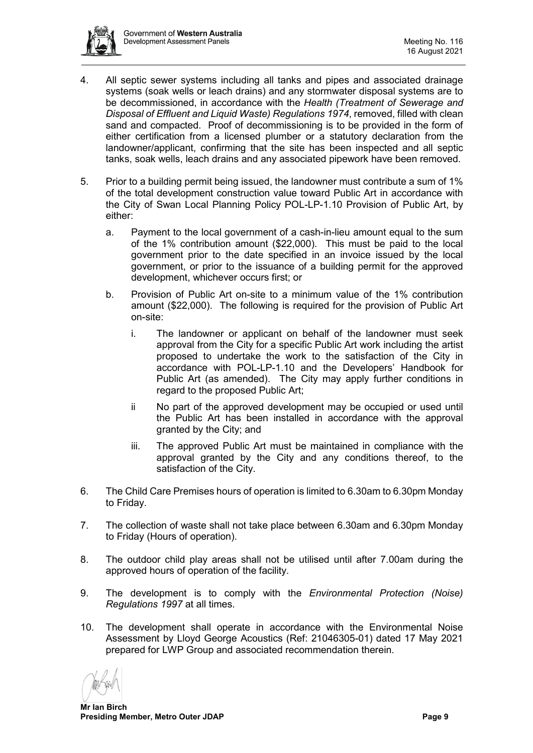

- 4. All septic sewer systems including all tanks and pipes and associated drainage systems (soak wells or leach drains) and any stormwater disposal systems are to be decommissioned, in accordance with the *Health (Treatment of Sewerage and Disposal of Effluent and Liquid Waste) Regulations 1974*, removed, filled with clean sand and compacted. Proof of decommissioning is to be provided in the form of either certification from a licensed plumber or a statutory declaration from the landowner/applicant, confirming that the site has been inspected and all septic tanks, soak wells, leach drains and any associated pipework have been removed.
- 5. Prior to a building permit being issued, the landowner must contribute a sum of 1% of the total development construction value toward Public Art in accordance with the City of Swan Local Planning Policy POL-LP-1.10 Provision of Public Art, by either:
	- a. Payment to the local government of a cash-in-lieu amount equal to the sum of the 1% contribution amount (\$22,000). This must be paid to the local government prior to the date specified in an invoice issued by the local government, or prior to the issuance of a building permit for the approved development, whichever occurs first; or
	- b. Provision of Public Art on-site to a minimum value of the 1% contribution amount (\$22,000). The following is required for the provision of Public Art on-site:
		- i. The landowner or applicant on behalf of the landowner must seek approval from the City for a specific Public Art work including the artist proposed to undertake the work to the satisfaction of the City in accordance with POL-LP-1.10 and the Developers' Handbook for Public Art (as amended). The City may apply further conditions in regard to the proposed Public Art;
		- ii No part of the approved development may be occupied or used until the Public Art has been installed in accordance with the approval granted by the City; and
		- iii. The approved Public Art must be maintained in compliance with the approval granted by the City and any conditions thereof, to the satisfaction of the City.
- 6. The Child Care Premises hours of operation is limited to 6.30am to 6.30pm Monday to Friday.
- 7. The collection of waste shall not take place between 6.30am and 6.30pm Monday to Friday (Hours of operation).
- 8. The outdoor child play areas shall not be utilised until after 7.00am during the approved hours of operation of the facility.
- 9. The development is to comply with the *Environmental Protection (Noise) Regulations 1997* at all times.
- 10. The development shall operate in accordance with the Environmental Noise Assessment by Lloyd George Acoustics (Ref: 21046305-01) dated 17 May 2021 prepared for LWP Group and associated recommendation therein.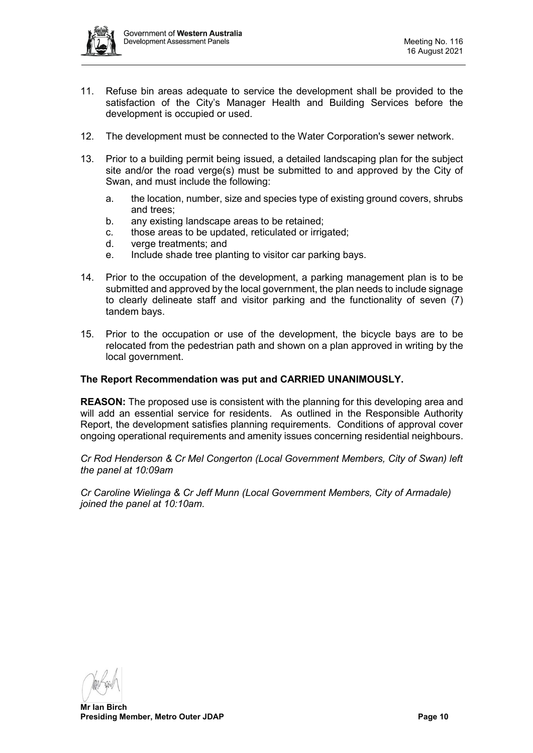

- 11. Refuse bin areas adequate to service the development shall be provided to the satisfaction of the City's Manager Health and Building Services before the development is occupied or used.
- 12. The development must be connected to the Water Corporation's sewer network.
- 13. Prior to a building permit being issued, a detailed landscaping plan for the subject site and/or the road verge(s) must be submitted to and approved by the City of Swan, and must include the following:
	- a. the location, number, size and species type of existing ground covers, shrubs and trees;
	- b. any existing landscape areas to be retained;
	- c. those areas to be updated, reticulated or irrigated;
	- d. verge treatments; and
	- e. Include shade tree planting to visitor car parking bays.
- 14. Prior to the occupation of the development, a parking management plan is to be submitted and approved by the local government, the plan needs to include signage to clearly delineate staff and visitor parking and the functionality of seven (7) tandem bays.
- 15. Prior to the occupation or use of the development, the bicycle bays are to be relocated from the pedestrian path and shown on a plan approved in writing by the local government.

#### **The Report Recommendation was put and CARRIED UNANIMOUSLY.**

**REASON:** The proposed use is consistent with the planning for this developing area and will add an essential service for residents. As outlined in the Responsible Authority Report, the development satisfies planning requirements. Conditions of approval cover ongoing operational requirements and amenity issues concerning residential neighbours.

*Cr Rod Henderson & Cr Mel Congerton (Local Government Members, City of Swan) left the panel at 10:09am*

*Cr Caroline Wielinga & Cr Jeff Munn (Local Government Members, City of Armadale) joined the panel at 10:10am.*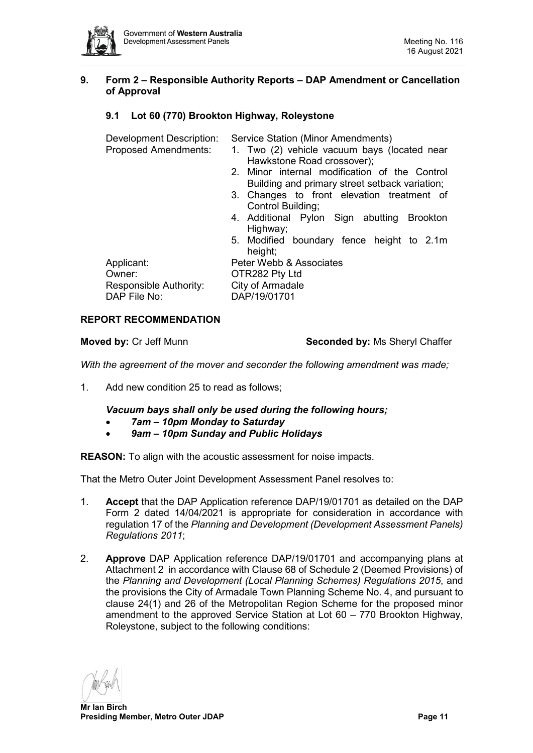

# <span id="page-10-0"></span>**9. Form 2 – Responsible Authority Reports – DAP Amendment or Cancellation of Approval**

# <span id="page-10-1"></span>**9.1 Lot 60 (770) Brookton Highway, Roleystone**

Development Description: Service Station (Minor Amendments)<br>Proposed Amendments: 1. Two (2) vehicle vacuum bays (k

- 1. Two (2) vehicle vacuum bays (located near Hawkstone Road crossover);
- 2. Minor internal modification of the Control Building and primary street setback variation;
- 3. Changes to front elevation treatment of Control Building;
- 4. Additional Pylon Sign abutting Brookton Highway;
- 5. Modified boundary fence height to 2.1m height:

Owner: **OTR282 Pty Ltd** Responsible Authority: City of Armadale DAP File No: DAP/19/01701

Applicant: Peter Webb & Associates

#### **REPORT RECOMMENDATION**

**Moved by: Cr Jeff Munn <b>Seconded by: Ms** Sheryl Chaffer

*With the agreement of the mover and seconder the following amendment was made;*

1. Add new condition 25 to read as follows;

*Vacuum bays shall only be used during the following hours;*

- *7am – 10pm Monday to Saturday*
- *9am – 10pm Sunday and Public Holidays*

**REASON:** To align with the acoustic assessment for noise impacts.

That the Metro Outer Joint Development Assessment Panel resolves to:

- 1. **Accept** that the DAP Application reference DAP/19/01701 as detailed on the DAP Form 2 dated 14/04/2021 is appropriate for consideration in accordance with regulation 17 of the *Planning and Development (Development Assessment Panels) Regulations 2011*;
- 2. **Approve** DAP Application reference DAP/19/01701 and accompanying plans at Attachment 2 in accordance with Clause 68 of Schedule 2 (Deemed Provisions) of the *Planning and Development (Local Planning Schemes) Regulations 2015*, and the provisions the City of Armadale Town Planning Scheme No. 4, and pursuant to clause 24(1) and 26 of the Metropolitan Region Scheme for the proposed minor amendment to the approved Service Station at Lot 60 – 770 Brookton Highway, Roleystone, subject to the following conditions: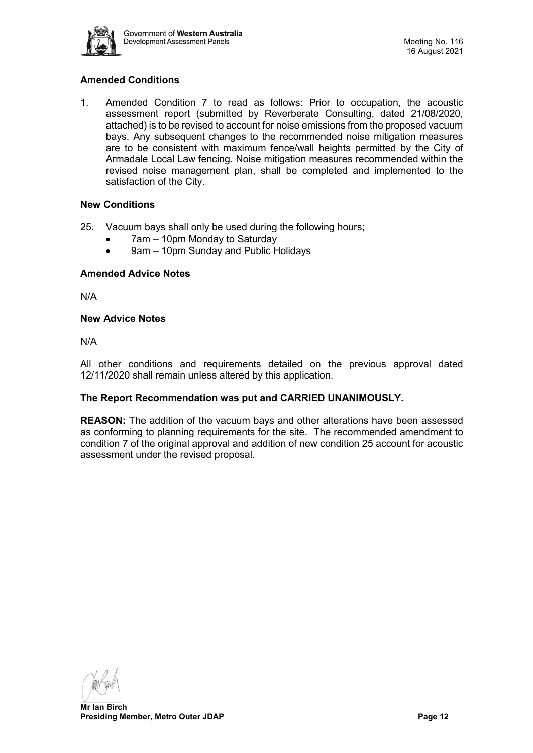

# **Amended Conditions**

1. Amended Condition 7 to read as follows: Prior to occupation, the acoustic assessment report (submitted by Reverberate Consulting, dated 21/08/2020, attached) is to be revised to account for noise emissions from the proposed vacuum bays. Any subsequent changes to the recommended noise mitigation measures are to be consistent with maximum fence/wall heights permitted by the City of Armadale Local Law fencing. Noise mitigation measures recommended within the revised noise management plan, shall be completed and implemented to the satisfaction of the City.

# **New Conditions**

- 25. Vacuum bays shall only be used during the following hours;
	- 7am 10pm Monday to Saturday
	- 9am 10pm Sunday and Public Holidays

#### **Amended Advice Notes**

N/A

#### **New Advice Notes**

N/A

All other conditions and requirements detailed on the previous approval dated 12/11/2020 shall remain unless altered by this application.

# **The Report Recommendation was put and CARRIED UNANIMOUSLY.**

**REASON:** The addition of the vacuum bays and other alterations have been assessed as conforming to planning requirements for the site. The recommended amendment to condition 7 of the original approval and addition of new condition 25 account for acoustic assessment under the revised proposal.